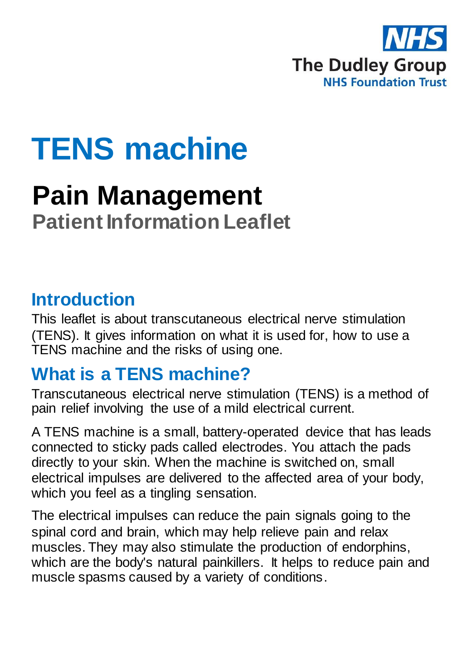

# **TENS machine**

## **Pain Management Patient Information Leaflet**

#### **Introduction**

This leaflet is about transcutaneous electrical nerve stimulation (TENS). It gives information on what it is used for, how to use a TENS machine and the risks of using one.

#### **What is a TENS machine?**

Transcutaneous electrical nerve stimulation (TENS) is a method of pain relief involving the use of a mild electrical current.

A TENS machine is a small, battery-operated device that has leads connected to sticky pads called electrodes. You attach the pads directly to your skin. When the machine is switched on, small electrical impulses are delivered to the affected area of your body, which you feel as a tingling sensation.

The electrical impulses can reduce the pain signals going to the spinal cord and brain, which may help relieve pain and relax muscles. They may also stimulate the production of endorphins, which are the body's natural painkillers. It helps to reduce pain and muscle spasms caused by a variety of conditions.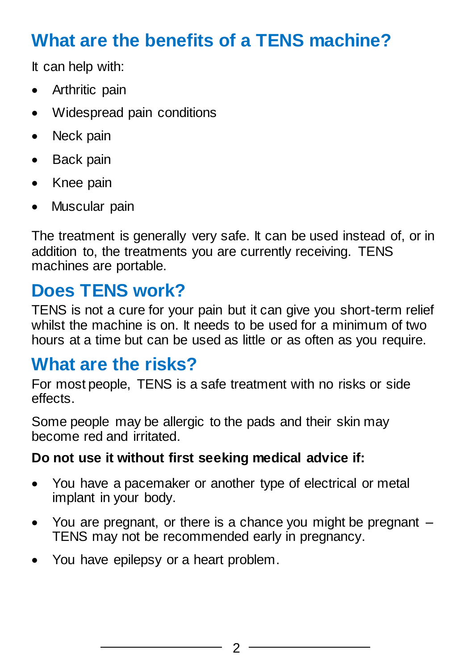### **What are the benefits of a TENS machine?**

It can help with:

- Arthritic pain
- Widespread pain conditions
- Neck pain
- Back pain
- Knee pain
- Muscular pain

The treatment is generally very safe. It can be used instead of, or in addition to, the treatments you are currently receiving. TENS machines are portable.

## **Does TENS work?**

TENS is not a cure for your pain but it can give you short-term relief whilst the machine is on. It needs to be used for a minimum of two hours at a time but can be used as little or as often as you require.

#### **What are the risks?**

For most people, TENS is a safe treatment with no risks or side effects.

Some people may be allergic to the pads and their skin may become red and irritated.

#### **Do not use it without first seeking medical advice if:**

- You have a pacemaker or another type of electrical or metal implant in your body.
- You are pregnant, or there is a chance you might be pregnant TENS may not be recommended early in pregnancy.
- You have epilepsy or a heart problem.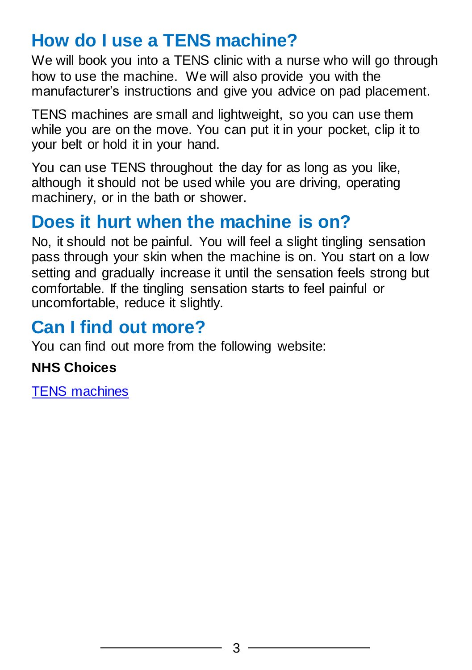#### **How do I use a TENS machine?**

We will book you into a TENS clinic with a nurse who will go through how to use the machine. We will also provide you with the manufacturer's instructions and give you advice on pad placement.

TENS machines are small and lightweight, so you can use them while you are on the move. You can put it in your pocket, clip it to your belt or hold it in your hand.

You can use TENS throughout the day for as long as you like, although it should not be used while you are driving, operating machinery, or in the bath or shower.

#### **Does it hurt when the machine is on?**

No, it should not be painful. You will feel a slight tingling sensation pass through your skin when the machine is on. You start on a low setting and gradually increase it until the sensation feels strong but comfortable. If the tingling sensation starts to feel painful or uncomfortable, reduce it slightly.

#### **Can I find out more?**

You can find out more from the following website:

#### **NHS Choices**

[TENS machines](http://www.nhs.uk/conditions/tens/Pages/Introduction.aspx)